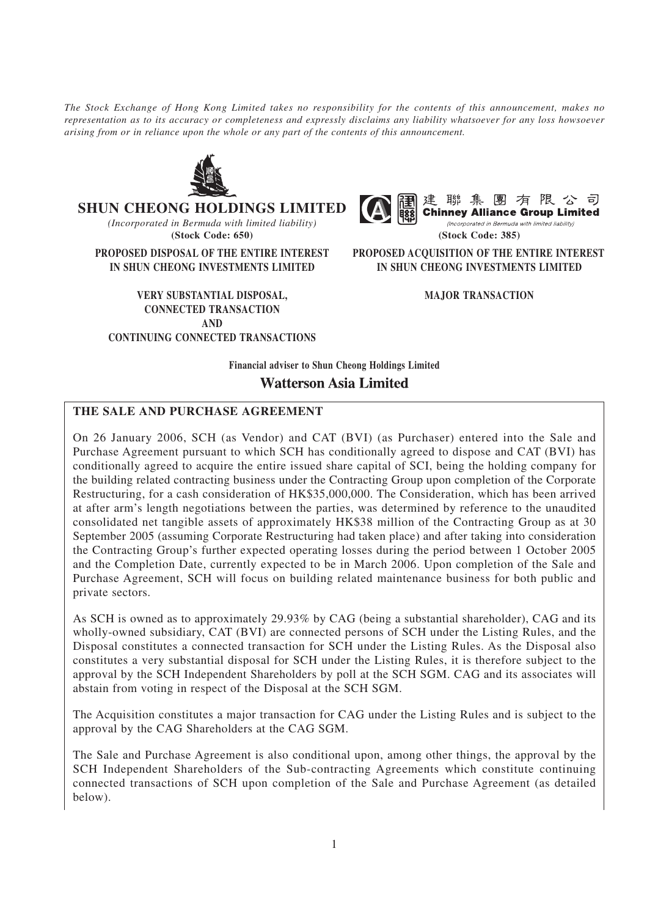*The Stock Exchange of Hong Kong Limited takes no responsibility for the contents of this announcement, makes no representation as to its accuracy or completeness and expressly disclaims any liability whatsoever for any loss howsoever arising from or in reliance upon the whole or any part of the contents of this announcement.*



**SHUN CHEONG HOLDINGS LIMITED**

*(Incorporated in Bermuda with limited liability)* **(Stock Code: 650) (Stock Code: 385)**

**VERY SUBSTANTIAL DISPOSAL, MAJOR TRANSACTION CONNECTED TRANSACTION AND CONTINUING CONNECTED TRANSACTIONS**



(Incorporated in Bermuda with limited liability)

**PROPOSED DISPOSAL OF THE ENTIRE INTEREST PROPOSED ACQUISITION OF THE ENTIRE INTEREST IN SHUN CHEONG INVESTMENTS LIMITED IN SHUN CHEONG INVESTMENTS LIMITED**

**Financial adviser to Shun Cheong Holdings Limited**

**Watterson Asia Limited** 

## **THE SALE AND PURCHASE AGREEMENT**

On 26 January 2006, SCH (as Vendor) and CAT (BVI) (as Purchaser) entered into the Sale and Purchase Agreement pursuant to which SCH has conditionally agreed to dispose and CAT (BVI) has conditionally agreed to acquire the entire issued share capital of SCI, being the holding company for the building related contracting business under the Contracting Group upon completion of the Corporate Restructuring, for a cash consideration of HK\$35,000,000. The Consideration, which has been arrived at after arm's length negotiations between the parties, was determined by reference to the unaudited consolidated net tangible assets of approximately HK\$38 million of the Contracting Group as at 30 September 2005 (assuming Corporate Restructuring had taken place) and after taking into consideration the Contracting Group's further expected operating losses during the period between 1 October 2005 and the Completion Date, currently expected to be in March 2006. Upon completion of the Sale and Purchase Agreement, SCH will focus on building related maintenance business for both public and private sectors.

As SCH is owned as to approximately 29.93% by CAG (being a substantial shareholder), CAG and its wholly-owned subsidiary, CAT (BVI) are connected persons of SCH under the Listing Rules, and the Disposal constitutes a connected transaction for SCH under the Listing Rules. As the Disposal also constitutes a very substantial disposal for SCH under the Listing Rules, it is therefore subject to the approval by the SCH Independent Shareholders by poll at the SCH SGM. CAG and its associates will abstain from voting in respect of the Disposal at the SCH SGM.

The Acquisition constitutes a major transaction for CAG under the Listing Rules and is subject to the approval by the CAG Shareholders at the CAG SGM.

The Sale and Purchase Agreement is also conditional upon, among other things, the approval by the SCH Independent Shareholders of the Sub-contracting Agreements which constitute continuing connected transactions of SCH upon completion of the Sale and Purchase Agreement (as detailed below).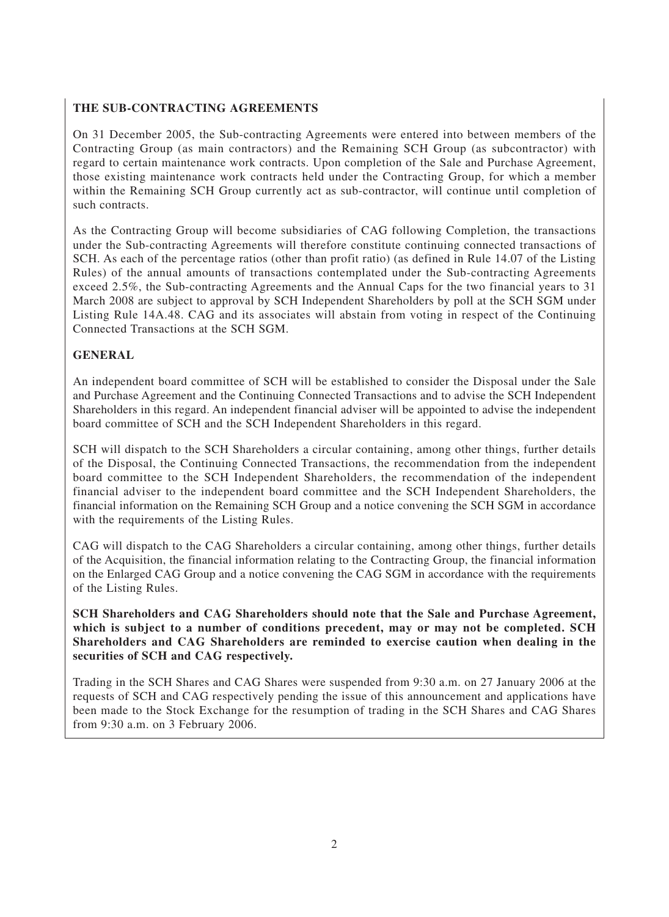# **THE SUB-CONTRACTING AGREEMENTS**

On 31 December 2005, the Sub-contracting Agreements were entered into between members of the Contracting Group (as main contractors) and the Remaining SCH Group (as subcontractor) with regard to certain maintenance work contracts. Upon completion of the Sale and Purchase Agreement, those existing maintenance work contracts held under the Contracting Group, for which a member within the Remaining SCH Group currently act as sub-contractor, will continue until completion of such contracts.

As the Contracting Group will become subsidiaries of CAG following Completion, the transactions under the Sub-contracting Agreements will therefore constitute continuing connected transactions of SCH. As each of the percentage ratios (other than profit ratio) (as defined in Rule 14.07 of the Listing Rules) of the annual amounts of transactions contemplated under the Sub-contracting Agreements exceed 2.5%, the Sub-contracting Agreements and the Annual Caps for the two financial years to 31 March 2008 are subject to approval by SCH Independent Shareholders by poll at the SCH SGM under Listing Rule 14A.48. CAG and its associates will abstain from voting in respect of the Continuing Connected Transactions at the SCH SGM.

# **GENERAL**

An independent board committee of SCH will be established to consider the Disposal under the Sale and Purchase Agreement and the Continuing Connected Transactions and to advise the SCH Independent Shareholders in this regard. An independent financial adviser will be appointed to advise the independent board committee of SCH and the SCH Independent Shareholders in this regard.

SCH will dispatch to the SCH Shareholders a circular containing, among other things, further details of the Disposal, the Continuing Connected Transactions, the recommendation from the independent board committee to the SCH Independent Shareholders, the recommendation of the independent financial adviser to the independent board committee and the SCH Independent Shareholders, the financial information on the Remaining SCH Group and a notice convening the SCH SGM in accordance with the requirements of the Listing Rules.

CAG will dispatch to the CAG Shareholders a circular containing, among other things, further details of the Acquisition, the financial information relating to the Contracting Group, the financial information on the Enlarged CAG Group and a notice convening the CAG SGM in accordance with the requirements of the Listing Rules.

**SCH Shareholders and CAG Shareholders should note that the Sale and Purchase Agreement, which is subject to a number of conditions precedent, may or may not be completed. SCH Shareholders and CAG Shareholders are reminded to exercise caution when dealing in the securities of SCH and CAG respectively.**

Trading in the SCH Shares and CAG Shares were suspended from 9:30 a.m. on 27 January 2006 at the requests of SCH and CAG respectively pending the issue of this announcement and applications have been made to the Stock Exchange for the resumption of trading in the SCH Shares and CAG Shares from 9:30 a.m. on 3 February 2006.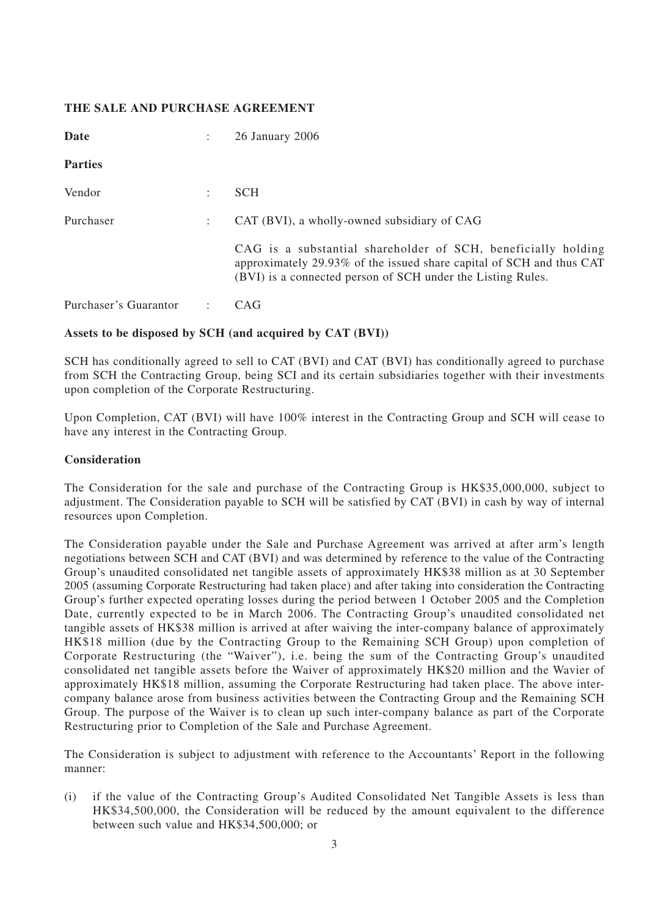# **THE SALE AND PURCHASE AGREEMENT**

| Date                  |                | 26 January 2006                                                                                                                                                                                      |
|-----------------------|----------------|------------------------------------------------------------------------------------------------------------------------------------------------------------------------------------------------------|
| <b>Parties</b>        |                |                                                                                                                                                                                                      |
| Vendor                |                | <b>SCH</b>                                                                                                                                                                                           |
| Purchaser             | $\mathbb{R}^n$ | CAT (BVI), a wholly-owned subsidiary of CAG                                                                                                                                                          |
|                       |                | CAG is a substantial shareholder of SCH, beneficially holding<br>approximately 29.93% of the issued share capital of SCH and thus CAT<br>(BVI) is a connected person of SCH under the Listing Rules. |
| Purchaser's Guarantor |                | CAG <sup>-</sup>                                                                                                                                                                                     |

## **Assets to be disposed by SCH (and acquired by CAT (BVI))**

SCH has conditionally agreed to sell to CAT (BVI) and CAT (BVI) has conditionally agreed to purchase from SCH the Contracting Group, being SCI and its certain subsidiaries together with their investments upon completion of the Corporate Restructuring.

Upon Completion, CAT (BVI) will have 100% interest in the Contracting Group and SCH will cease to have any interest in the Contracting Group.

#### **Consideration**

The Consideration for the sale and purchase of the Contracting Group is HK\$35,000,000, subject to adjustment. The Consideration payable to SCH will be satisfied by CAT (BVI) in cash by way of internal resources upon Completion.

The Consideration payable under the Sale and Purchase Agreement was arrived at after arm's length negotiations between SCH and CAT (BVI) and was determined by reference to the value of the Contracting Group's unaudited consolidated net tangible assets of approximately HK\$38 million as at 30 September 2005 (assuming Corporate Restructuring had taken place) and after taking into consideration the Contracting Group's further expected operating losses during the period between 1 October 2005 and the Completion Date, currently expected to be in March 2006. The Contracting Group's unaudited consolidated net tangible assets of HK\$38 million is arrived at after waiving the inter-company balance of approximately HK\$18 million (due by the Contracting Group to the Remaining SCH Group) upon completion of Corporate Restructuring (the "Waiver"), i.e. being the sum of the Contracting Group's unaudited consolidated net tangible assets before the Waiver of approximately HK\$20 million and the Wavier of approximately HK\$18 million, assuming the Corporate Restructuring had taken place. The above intercompany balance arose from business activities between the Contracting Group and the Remaining SCH Group. The purpose of the Waiver is to clean up such inter-company balance as part of the Corporate Restructuring prior to Completion of the Sale and Purchase Agreement.

The Consideration is subject to adjustment with reference to the Accountants' Report in the following manner:

(i) if the value of the Contracting Group's Audited Consolidated Net Tangible Assets is less than HK\$34,500,000, the Consideration will be reduced by the amount equivalent to the difference between such value and HK\$34,500,000; or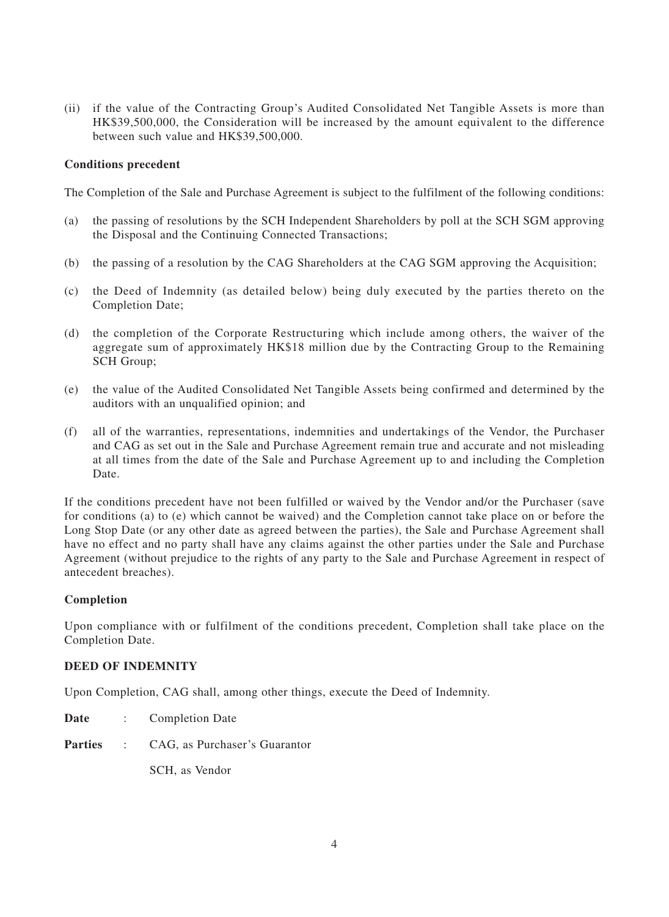(ii) if the value of the Contracting Group's Audited Consolidated Net Tangible Assets is more than HK\$39,500,000, the Consideration will be increased by the amount equivalent to the difference between such value and HK\$39,500,000.

#### **Conditions precedent**

The Completion of the Sale and Purchase Agreement is subject to the fulfilment of the following conditions:

- (a) the passing of resolutions by the SCH Independent Shareholders by poll at the SCH SGM approving the Disposal and the Continuing Connected Transactions;
- (b) the passing of a resolution by the CAG Shareholders at the CAG SGM approving the Acquisition;
- (c) the Deed of Indemnity (as detailed below) being duly executed by the parties thereto on the Completion Date;
- (d) the completion of the Corporate Restructuring which include among others, the waiver of the aggregate sum of approximately HK\$18 million due by the Contracting Group to the Remaining SCH Group;
- (e) the value of the Audited Consolidated Net Tangible Assets being confirmed and determined by the auditors with an unqualified opinion; and
- (f) all of the warranties, representations, indemnities and undertakings of the Vendor, the Purchaser and CAG as set out in the Sale and Purchase Agreement remain true and accurate and not misleading at all times from the date of the Sale and Purchase Agreement up to and including the Completion Date.

If the conditions precedent have not been fulfilled or waived by the Vendor and/or the Purchaser (save for conditions (a) to (e) which cannot be waived) and the Completion cannot take place on or before the Long Stop Date (or any other date as agreed between the parties), the Sale and Purchase Agreement shall have no effect and no party shall have any claims against the other parties under the Sale and Purchase Agreement (without prejudice to the rights of any party to the Sale and Purchase Agreement in respect of antecedent breaches).

#### **Completion**

Upon compliance with or fulfilment of the conditions precedent, Completion shall take place on the Completion Date.

## **DEED OF INDEMNITY**

Upon Completion, CAG shall, among other things, execute the Deed of Indemnity.

- **Date** : Completion Date
- **Parties** : CAG, as Purchaser's Guarantor

SCH, as Vendor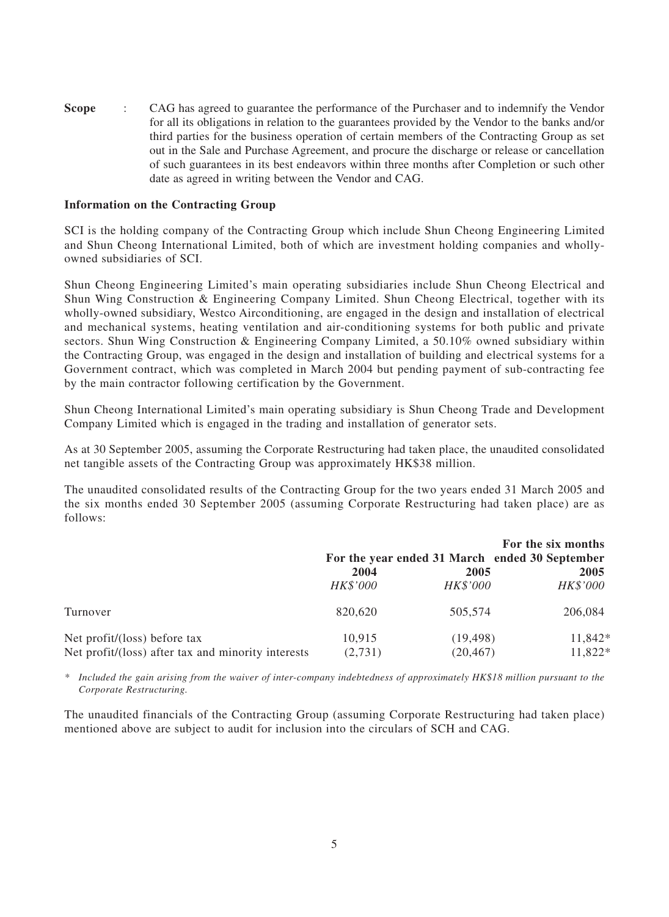**Scope** : CAG has agreed to guarantee the performance of the Purchaser and to indemnify the Vendor for all its obligations in relation to the guarantees provided by the Vendor to the banks and/or third parties for the business operation of certain members of the Contracting Group as set out in the Sale and Purchase Agreement, and procure the discharge or release or cancellation of such guarantees in its best endeavors within three months after Completion or such other date as agreed in writing between the Vendor and CAG.

#### **Information on the Contracting Group**

SCI is the holding company of the Contracting Group which include Shun Cheong Engineering Limited and Shun Cheong International Limited, both of which are investment holding companies and whollyowned subsidiaries of SCI.

Shun Cheong Engineering Limited's main operating subsidiaries include Shun Cheong Electrical and Shun Wing Construction & Engineering Company Limited. Shun Cheong Electrical, together with its wholly-owned subsidiary, Westco Airconditioning, are engaged in the design and installation of electrical and mechanical systems, heating ventilation and air-conditioning systems for both public and private sectors. Shun Wing Construction & Engineering Company Limited, a 50.10% owned subsidiary within the Contracting Group, was engaged in the design and installation of building and electrical systems for a Government contract, which was completed in March 2004 but pending payment of sub-contracting fee by the main contractor following certification by the Government.

Shun Cheong International Limited's main operating subsidiary is Shun Cheong Trade and Development Company Limited which is engaged in the trading and installation of generator sets.

As at 30 September 2005, assuming the Corporate Restructuring had taken place, the unaudited consolidated net tangible assets of the Contracting Group was approximately HK\$38 million.

The unaudited consolidated results of the Contracting Group for the two years ended 31 March 2005 and the six months ended 30 September 2005 (assuming Corporate Restructuring had taken place) are as follows:

|                                                    | 2004            | For the year ended 31 March ended 30 September<br>2005 | For the six months<br>2005 |
|----------------------------------------------------|-----------------|--------------------------------------------------------|----------------------------|
|                                                    | <b>HK\$'000</b> | HK\$'000                                               | HK\$'000                   |
| Turnover                                           | 820,620         | 505,574                                                | 206,084                    |
| Net profit/(loss) before tax                       | 10,915          | (19, 498)                                              | 11,842*                    |
| Net profit/(loss) after tax and minority interests | (2,731)         | (20, 467)                                              | 11,822*                    |

*\* Included the gain arising from the waiver of inter-company indebtedness of approximately HK\$18 million pursuant to the Corporate Restructuring.*

The unaudited financials of the Contracting Group (assuming Corporate Restructuring had taken place) mentioned above are subject to audit for inclusion into the circulars of SCH and CAG.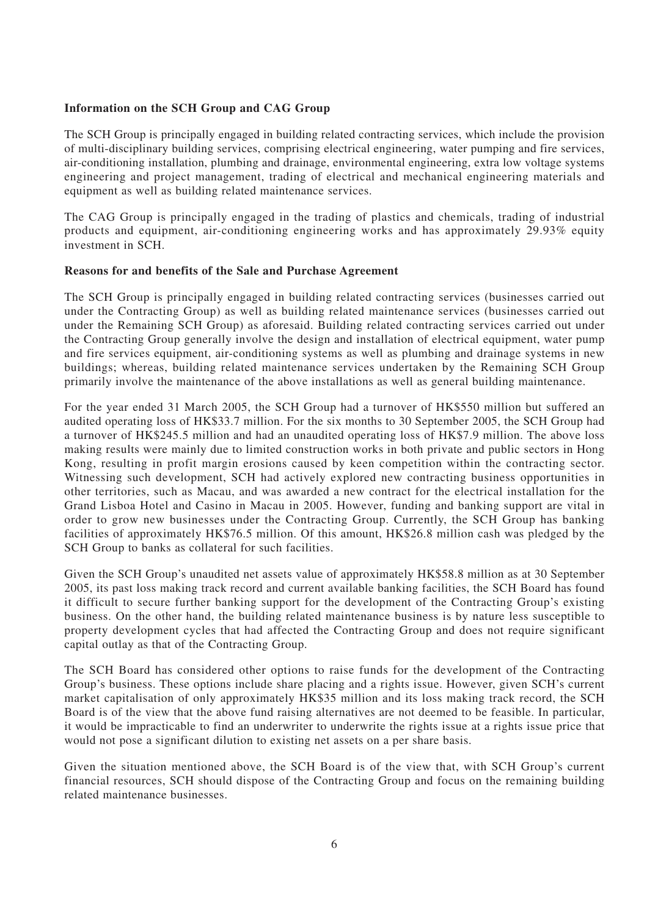# **Information on the SCH Group and CAG Group**

The SCH Group is principally engaged in building related contracting services, which include the provision of multi-disciplinary building services, comprising electrical engineering, water pumping and fire services, air-conditioning installation, plumbing and drainage, environmental engineering, extra low voltage systems engineering and project management, trading of electrical and mechanical engineering materials and equipment as well as building related maintenance services.

The CAG Group is principally engaged in the trading of plastics and chemicals, trading of industrial products and equipment, air-conditioning engineering works and has approximately 29.93% equity investment in SCH.

## **Reasons for and benefits of the Sale and Purchase Agreement**

The SCH Group is principally engaged in building related contracting services (businesses carried out under the Contracting Group) as well as building related maintenance services (businesses carried out under the Remaining SCH Group) as aforesaid. Building related contracting services carried out under the Contracting Group generally involve the design and installation of electrical equipment, water pump and fire services equipment, air-conditioning systems as well as plumbing and drainage systems in new buildings; whereas, building related maintenance services undertaken by the Remaining SCH Group primarily involve the maintenance of the above installations as well as general building maintenance.

For the year ended 31 March 2005, the SCH Group had a turnover of HK\$550 million but suffered an audited operating loss of HK\$33.7 million. For the six months to 30 September 2005, the SCH Group had a turnover of HK\$245.5 million and had an unaudited operating loss of HK\$7.9 million. The above loss making results were mainly due to limited construction works in both private and public sectors in Hong Kong, resulting in profit margin erosions caused by keen competition within the contracting sector. Witnessing such development, SCH had actively explored new contracting business opportunities in other territories, such as Macau, and was awarded a new contract for the electrical installation for the Grand Lisboa Hotel and Casino in Macau in 2005. However, funding and banking support are vital in order to grow new businesses under the Contracting Group. Currently, the SCH Group has banking facilities of approximately HK\$76.5 million. Of this amount, HK\$26.8 million cash was pledged by the SCH Group to banks as collateral for such facilities.

Given the SCH Group's unaudited net assets value of approximately HK\$58.8 million as at 30 September 2005, its past loss making track record and current available banking facilities, the SCH Board has found it difficult to secure further banking support for the development of the Contracting Group's existing business. On the other hand, the building related maintenance business is by nature less susceptible to property development cycles that had affected the Contracting Group and does not require significant capital outlay as that of the Contracting Group.

The SCH Board has considered other options to raise funds for the development of the Contracting Group's business. These options include share placing and a rights issue. However, given SCH's current market capitalisation of only approximately HK\$35 million and its loss making track record, the SCH Board is of the view that the above fund raising alternatives are not deemed to be feasible. In particular, it would be impracticable to find an underwriter to underwrite the rights issue at a rights issue price that would not pose a significant dilution to existing net assets on a per share basis.

Given the situation mentioned above, the SCH Board is of the view that, with SCH Group's current financial resources, SCH should dispose of the Contracting Group and focus on the remaining building related maintenance businesses.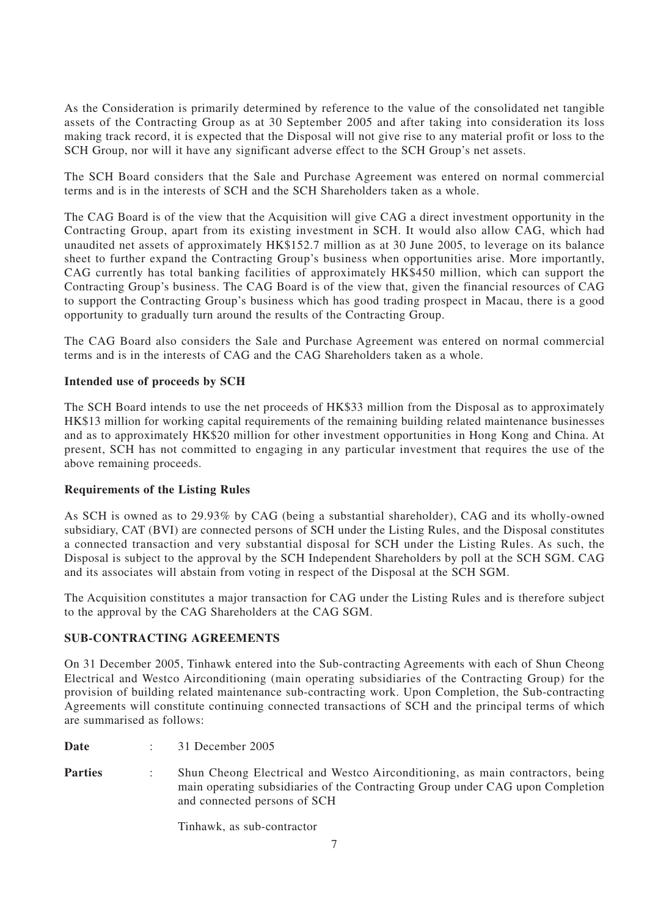As the Consideration is primarily determined by reference to the value of the consolidated net tangible assets of the Contracting Group as at 30 September 2005 and after taking into consideration its loss making track record, it is expected that the Disposal will not give rise to any material profit or loss to the SCH Group, nor will it have any significant adverse effect to the SCH Group's net assets.

The SCH Board considers that the Sale and Purchase Agreement was entered on normal commercial terms and is in the interests of SCH and the SCH Shareholders taken as a whole.

The CAG Board is of the view that the Acquisition will give CAG a direct investment opportunity in the Contracting Group, apart from its existing investment in SCH. It would also allow CAG, which had unaudited net assets of approximately HK\$152.7 million as at 30 June 2005, to leverage on its balance sheet to further expand the Contracting Group's business when opportunities arise. More importantly, CAG currently has total banking facilities of approximately HK\$450 million, which can support the Contracting Group's business. The CAG Board is of the view that, given the financial resources of CAG to support the Contracting Group's business which has good trading prospect in Macau, there is a good opportunity to gradually turn around the results of the Contracting Group.

The CAG Board also considers the Sale and Purchase Agreement was entered on normal commercial terms and is in the interests of CAG and the CAG Shareholders taken as a whole.

## **Intended use of proceeds by SCH**

The SCH Board intends to use the net proceeds of HK\$33 million from the Disposal as to approximately HK\$13 million for working capital requirements of the remaining building related maintenance businesses and as to approximately HK\$20 million for other investment opportunities in Hong Kong and China. At present, SCH has not committed to engaging in any particular investment that requires the use of the above remaining proceeds.

## **Requirements of the Listing Rules**

As SCH is owned as to 29.93% by CAG (being a substantial shareholder), CAG and its wholly-owned subsidiary, CAT (BVI) are connected persons of SCH under the Listing Rules, and the Disposal constitutes a connected transaction and very substantial disposal for SCH under the Listing Rules. As such, the Disposal is subject to the approval by the SCH Independent Shareholders by poll at the SCH SGM. CAG and its associates will abstain from voting in respect of the Disposal at the SCH SGM.

The Acquisition constitutes a major transaction for CAG under the Listing Rules and is therefore subject to the approval by the CAG Shareholders at the CAG SGM.

#### **SUB-CONTRACTING AGREEMENTS**

On 31 December 2005, Tinhawk entered into the Sub-contracting Agreements with each of Shun Cheong Electrical and Westco Airconditioning (main operating subsidiaries of the Contracting Group) for the provision of building related maintenance sub-contracting work. Upon Completion, the Sub-contracting Agreements will constitute continuing connected transactions of SCH and the principal terms of which are summarised as follows:

**Date** : 31 December 2005

Parties : Shun Cheong Electrical and Westco Airconditioning, as main contractors, being main operating subsidiaries of the Contracting Group under CAG upon Completion and connected persons of SCH

Tinhawk, as sub-contractor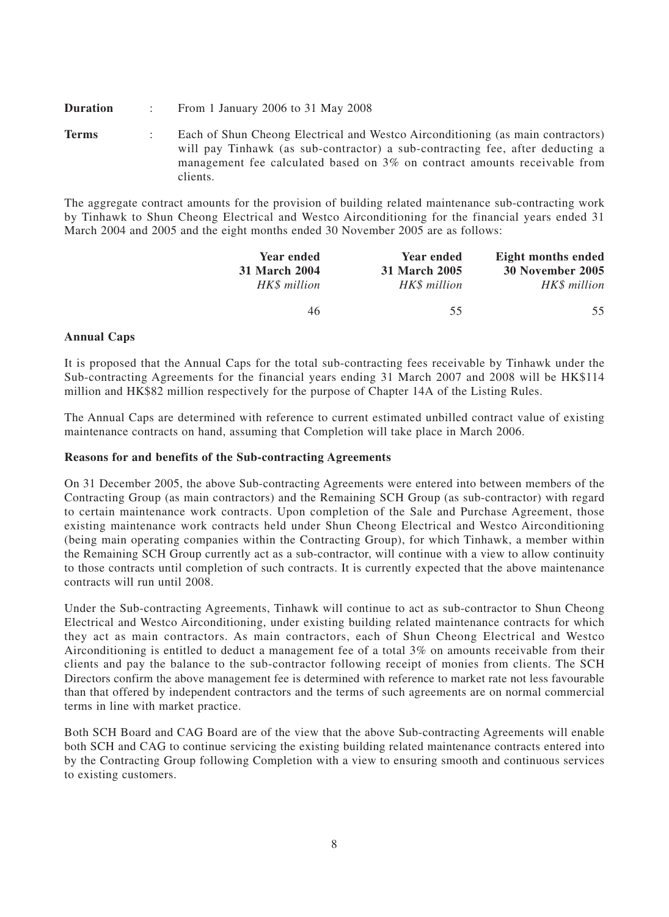**Duration** : From 1 January 2006 to 31 May 2008

**Terms** : Each of Shun Cheong Electrical and Westco Airconditioning (as main contractors) will pay Tinhawk (as sub-contractor) a sub-contracting fee, after deducting a management fee calculated based on 3% on contract amounts receivable from clients.

The aggregate contract amounts for the provision of building related maintenance sub-contracting work by Tinhawk to Shun Cheong Electrical and Westco Airconditioning for the financial years ended 31 March 2004 and 2005 and the eight months ended 30 November 2005 are as follows:

| Eight months ended | <b>Year ended</b> | <b>Year ended</b> |
|--------------------|-------------------|-------------------|
| 30 November 2005   | 31 March 2005     | 31 March 2004     |
| HK\$ million       | HK\$ million      | HK\$ million      |
| 55.                | 55                | 46                |

## **Annual Caps**

It is proposed that the Annual Caps for the total sub-contracting fees receivable by Tinhawk under the Sub-contracting Agreements for the financial years ending 31 March 2007 and 2008 will be HK\$114 million and HK\$82 million respectively for the purpose of Chapter 14A of the Listing Rules.

The Annual Caps are determined with reference to current estimated unbilled contract value of existing maintenance contracts on hand, assuming that Completion will take place in March 2006.

#### **Reasons for and benefits of the Sub-contracting Agreements**

On 31 December 2005, the above Sub-contracting Agreements were entered into between members of the Contracting Group (as main contractors) and the Remaining SCH Group (as sub-contractor) with regard to certain maintenance work contracts. Upon completion of the Sale and Purchase Agreement, those existing maintenance work contracts held under Shun Cheong Electrical and Westco Airconditioning (being main operating companies within the Contracting Group), for which Tinhawk, a member within the Remaining SCH Group currently act as a sub-contractor, will continue with a view to allow continuity to those contracts until completion of such contracts. It is currently expected that the above maintenance contracts will run until 2008.

Under the Sub-contracting Agreements, Tinhawk will continue to act as sub-contractor to Shun Cheong Electrical and Westco Airconditioning, under existing building related maintenance contracts for which they act as main contractors. As main contractors, each of Shun Cheong Electrical and Westco Airconditioning is entitled to deduct a management fee of a total 3% on amounts receivable from their clients and pay the balance to the sub-contractor following receipt of monies from clients. The SCH Directors confirm the above management fee is determined with reference to market rate not less favourable than that offered by independent contractors and the terms of such agreements are on normal commercial terms in line with market practice.

Both SCH Board and CAG Board are of the view that the above Sub-contracting Agreements will enable both SCH and CAG to continue servicing the existing building related maintenance contracts entered into by the Contracting Group following Completion with a view to ensuring smooth and continuous services to existing customers.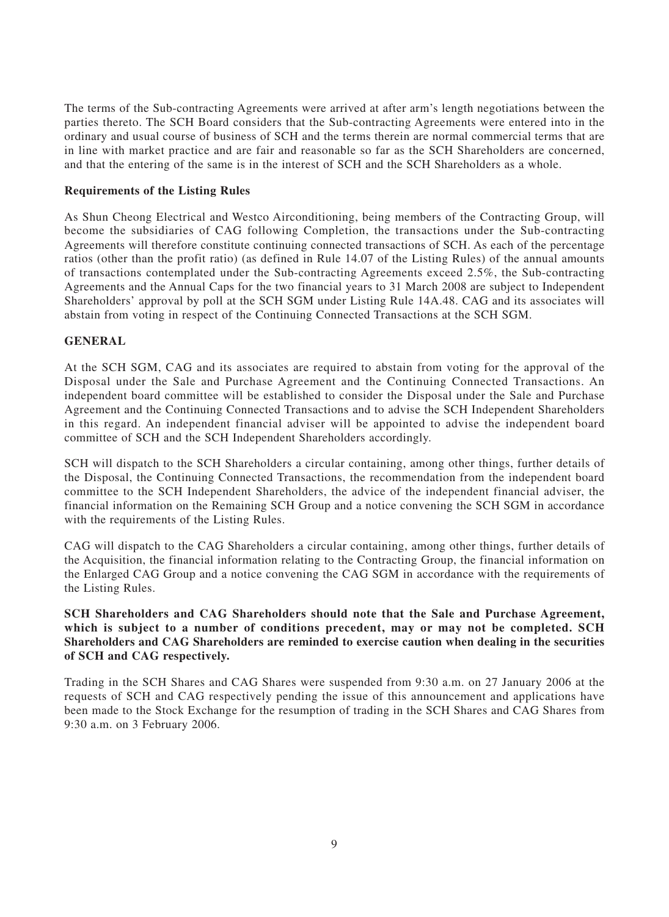The terms of the Sub-contracting Agreements were arrived at after arm's length negotiations between the parties thereto. The SCH Board considers that the Sub-contracting Agreements were entered into in the ordinary and usual course of business of SCH and the terms therein are normal commercial terms that are in line with market practice and are fair and reasonable so far as the SCH Shareholders are concerned, and that the entering of the same is in the interest of SCH and the SCH Shareholders as a whole.

## **Requirements of the Listing Rules**

As Shun Cheong Electrical and Westco Airconditioning, being members of the Contracting Group, will become the subsidiaries of CAG following Completion, the transactions under the Sub-contracting Agreements will therefore constitute continuing connected transactions of SCH. As each of the percentage ratios (other than the profit ratio) (as defined in Rule 14.07 of the Listing Rules) of the annual amounts of transactions contemplated under the Sub-contracting Agreements exceed 2.5%, the Sub-contracting Agreements and the Annual Caps for the two financial years to 31 March 2008 are subject to Independent Shareholders' approval by poll at the SCH SGM under Listing Rule 14A.48. CAG and its associates will abstain from voting in respect of the Continuing Connected Transactions at the SCH SGM.

# **GENERAL**

At the SCH SGM, CAG and its associates are required to abstain from voting for the approval of the Disposal under the Sale and Purchase Agreement and the Continuing Connected Transactions. An independent board committee will be established to consider the Disposal under the Sale and Purchase Agreement and the Continuing Connected Transactions and to advise the SCH Independent Shareholders in this regard. An independent financial adviser will be appointed to advise the independent board committee of SCH and the SCH Independent Shareholders accordingly.

SCH will dispatch to the SCH Shareholders a circular containing, among other things, further details of the Disposal, the Continuing Connected Transactions, the recommendation from the independent board committee to the SCH Independent Shareholders, the advice of the independent financial adviser, the financial information on the Remaining SCH Group and a notice convening the SCH SGM in accordance with the requirements of the Listing Rules.

CAG will dispatch to the CAG Shareholders a circular containing, among other things, further details of the Acquisition, the financial information relating to the Contracting Group, the financial information on the Enlarged CAG Group and a notice convening the CAG SGM in accordance with the requirements of the Listing Rules.

**SCH Shareholders and CAG Shareholders should note that the Sale and Purchase Agreement, which is subject to a number of conditions precedent, may or may not be completed. SCH Shareholders and CAG Shareholders are reminded to exercise caution when dealing in the securities of SCH and CAG respectively.**

Trading in the SCH Shares and CAG Shares were suspended from 9:30 a.m. on 27 January 2006 at the requests of SCH and CAG respectively pending the issue of this announcement and applications have been made to the Stock Exchange for the resumption of trading in the SCH Shares and CAG Shares from 9:30 a.m. on 3 February 2006.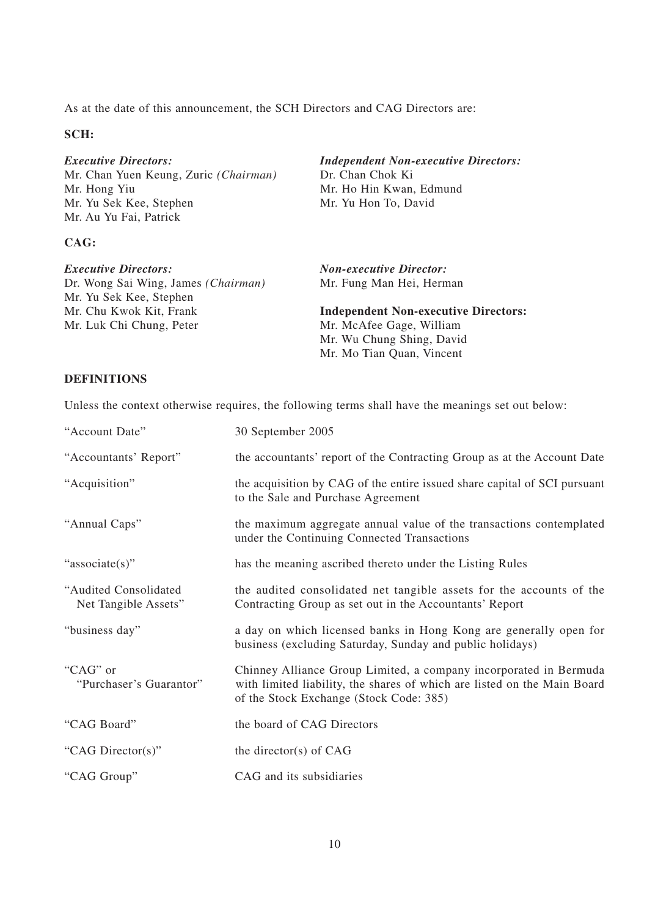As at the date of this announcement, the SCH Directors and CAG Directors are:

## **SCH:**

*Executive Directors: Independent Non-executive Directors:*<br>Mr. Chan Yuen Keung, Zuric (*Chairman*) Dr. Chan Chok Ki Mr. Chan Yuen Keung, Zuric *(Chairman)* Mr. Hong Yiu Mr. Ho Hin Kwan, Edmund Mr. Yu Sek Kee, Stephen Mr. Yu Hon To, David Mr. Au Yu Fai, Patrick

# **CAG:**

*Executive Directors: Non-executive Director:* Dr. Wong Sai Wing, James *(Chairman)* Mr. Fung Man Hei, Herman

Mr. Chu Kwok Kit, Frank **Independent Non-executive Directors:** Mr. Luk Chi Chung, Peter Mr. McAfee Gage, William Mr. Wu Chung Shing, David Mr. Mo Tian Quan, Vincent

## **DEFINITIONS**

Mr. Yu Sek Kee, Stephen

Unless the context otherwise requires, the following terms shall have the meanings set out below:

| "Account Date"                                | 30 September 2005                                                                                                                                                                        |
|-----------------------------------------------|------------------------------------------------------------------------------------------------------------------------------------------------------------------------------------------|
| "Accountants' Report"                         | the accountants' report of the Contracting Group as at the Account Date                                                                                                                  |
| "Acquisition"                                 | the acquisition by CAG of the entire issued share capital of SCI pursuant<br>to the Sale and Purchase Agreement                                                                          |
| "Annual Caps"                                 | the maximum aggregate annual value of the transactions contemplated<br>under the Continuing Connected Transactions                                                                       |
| "associate(s)"                                | has the meaning ascribed thereto under the Listing Rules                                                                                                                                 |
| "Audited Consolidated<br>Net Tangible Assets" | the audited consolidated net tangible assets for the accounts of the<br>Contracting Group as set out in the Accountants' Report                                                          |
| "business day"                                | a day on which licensed banks in Hong Kong are generally open for<br>business (excluding Saturday, Sunday and public holidays)                                                           |
| "CAG" or<br>"Purchaser's Guarantor"           | Chinney Alliance Group Limited, a company incorporated in Bermuda<br>with limited liability, the shares of which are listed on the Main Board<br>of the Stock Exchange (Stock Code: 385) |
| "CAG Board"                                   | the board of CAG Directors                                                                                                                                                               |
| "CAG Director(s)"                             | the director(s) of $CAG$                                                                                                                                                                 |
| "CAG Group"                                   | CAG and its subsidiaries                                                                                                                                                                 |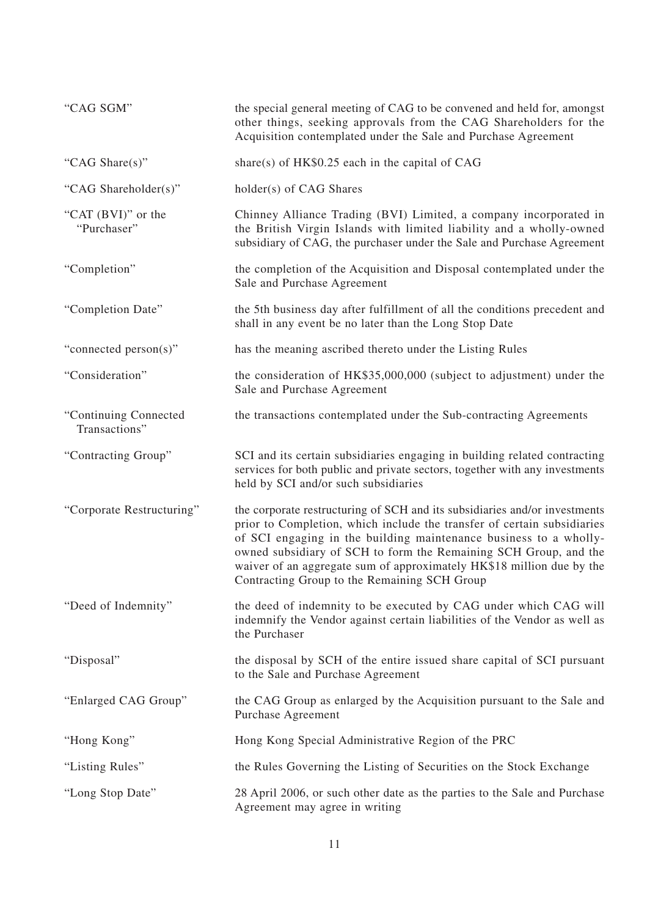| "CAG SGM"                              | the special general meeting of CAG to be convened and held for, amongst<br>other things, seeking approvals from the CAG Shareholders for the<br>Acquisition contemplated under the Sale and Purchase Agreement                                                                                                                                                                                                          |
|----------------------------------------|-------------------------------------------------------------------------------------------------------------------------------------------------------------------------------------------------------------------------------------------------------------------------------------------------------------------------------------------------------------------------------------------------------------------------|
| "CAG Share(s)"                         | share(s) of $HK$0.25$ each in the capital of CAG                                                                                                                                                                                                                                                                                                                                                                        |
| "CAG Shareholder(s)"                   | holder(s) of CAG Shares                                                                                                                                                                                                                                                                                                                                                                                                 |
| "CAT (BVI)" or the<br>"Purchaser"      | Chinney Alliance Trading (BVI) Limited, a company incorporated in<br>the British Virgin Islands with limited liability and a wholly-owned<br>subsidiary of CAG, the purchaser under the Sale and Purchase Agreement                                                                                                                                                                                                     |
| "Completion"                           | the completion of the Acquisition and Disposal contemplated under the<br>Sale and Purchase Agreement                                                                                                                                                                                                                                                                                                                    |
| "Completion Date"                      | the 5th business day after fulfillment of all the conditions precedent and<br>shall in any event be no later than the Long Stop Date                                                                                                                                                                                                                                                                                    |
| "connected person(s)"                  | has the meaning ascribed thereto under the Listing Rules                                                                                                                                                                                                                                                                                                                                                                |
| "Consideration"                        | the consideration of HK\$35,000,000 (subject to adjustment) under the<br>Sale and Purchase Agreement                                                                                                                                                                                                                                                                                                                    |
| "Continuing Connected<br>Transactions" | the transactions contemplated under the Sub-contracting Agreements                                                                                                                                                                                                                                                                                                                                                      |
| "Contracting Group"                    | SCI and its certain subsidiaries engaging in building related contracting<br>services for both public and private sectors, together with any investments<br>held by SCI and/or such subsidiaries                                                                                                                                                                                                                        |
| "Corporate Restructuring"              | the corporate restructuring of SCH and its subsidiaries and/or investments<br>prior to Completion, which include the transfer of certain subsidiaries<br>of SCI engaging in the building maintenance business to a wholly-<br>owned subsidiary of SCH to form the Remaining SCH Group, and the<br>waiver of an aggregate sum of approximately HK\$18 million due by the<br>Contracting Group to the Remaining SCH Group |
| "Deed of Indemnity"                    | the deed of indemnity to be executed by CAG under which CAG will<br>indemnify the Vendor against certain liabilities of the Vendor as well as<br>the Purchaser                                                                                                                                                                                                                                                          |
| "Disposal"                             | the disposal by SCH of the entire issued share capital of SCI pursuant<br>to the Sale and Purchase Agreement                                                                                                                                                                                                                                                                                                            |
| "Enlarged CAG Group"                   | the CAG Group as enlarged by the Acquisition pursuant to the Sale and<br><b>Purchase Agreement</b>                                                                                                                                                                                                                                                                                                                      |
| "Hong Kong"                            | Hong Kong Special Administrative Region of the PRC                                                                                                                                                                                                                                                                                                                                                                      |
| "Listing Rules"                        | the Rules Governing the Listing of Securities on the Stock Exchange                                                                                                                                                                                                                                                                                                                                                     |
| "Long Stop Date"                       | 28 April 2006, or such other date as the parties to the Sale and Purchase<br>Agreement may agree in writing                                                                                                                                                                                                                                                                                                             |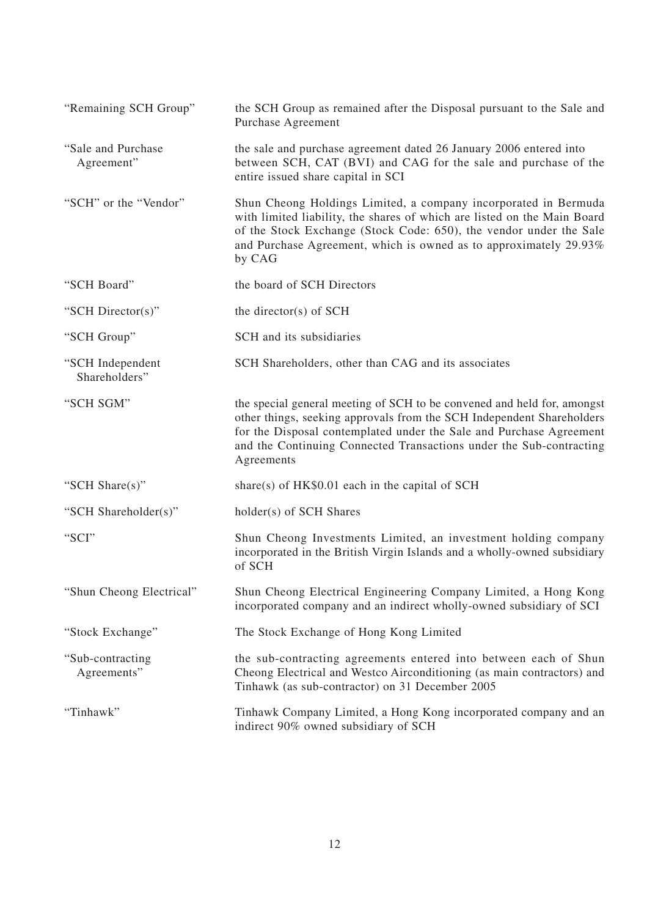| "Remaining SCH Group"             | the SCH Group as remained after the Disposal pursuant to the Sale and<br>Purchase Agreement                                                                                                                                                                                                                  |
|-----------------------------------|--------------------------------------------------------------------------------------------------------------------------------------------------------------------------------------------------------------------------------------------------------------------------------------------------------------|
| "Sale and Purchase"<br>Agreement" | the sale and purchase agreement dated 26 January 2006 entered into<br>between SCH, CAT (BVI) and CAG for the sale and purchase of the<br>entire issued share capital in SCI                                                                                                                                  |
| "SCH" or the "Vendor"             | Shun Cheong Holdings Limited, a company incorporated in Bermuda<br>with limited liability, the shares of which are listed on the Main Board<br>of the Stock Exchange (Stock Code: 650), the vendor under the Sale<br>and Purchase Agreement, which is owned as to approximately 29.93%<br>by CAG             |
| "SCH Board"                       | the board of SCH Directors                                                                                                                                                                                                                                                                                   |
| "SCH Director(s)"                 | the director(s) of $SCH$                                                                                                                                                                                                                                                                                     |
| "SCH Group"                       | SCH and its subsidiaries                                                                                                                                                                                                                                                                                     |
| "SCH Independent<br>Shareholders" | SCH Shareholders, other than CAG and its associates                                                                                                                                                                                                                                                          |
| "SCH SGM"                         | the special general meeting of SCH to be convened and held for, amongst<br>other things, seeking approvals from the SCH Independent Shareholders<br>for the Disposal contemplated under the Sale and Purchase Agreement<br>and the Continuing Connected Transactions under the Sub-contracting<br>Agreements |
| "SCH Share(s)"                    | share(s) of $HK$0.01$ each in the capital of SCH                                                                                                                                                                                                                                                             |
| "SCH Shareholder(s)"              | holder(s) of SCH Shares                                                                                                                                                                                                                                                                                      |
| "SCI"                             | Shun Cheong Investments Limited, an investment holding company<br>incorporated in the British Virgin Islands and a wholly-owned subsidiary<br>of SCH                                                                                                                                                         |
| "Shun Cheong Electrical"          | Shun Cheong Electrical Engineering Company Limited, a Hong Kong<br>incorporated company and an indirect wholly-owned subsidiary of SCI                                                                                                                                                                       |
| "Stock Exchange"                  | The Stock Exchange of Hong Kong Limited                                                                                                                                                                                                                                                                      |
| "Sub-contracting<br>Agreements"   | the sub-contracting agreements entered into between each of Shun<br>Cheong Electrical and Westco Airconditioning (as main contractors) and<br>Tinhawk (as sub-contractor) on 31 December 2005                                                                                                                |
| "Tinhawk"                         | Tinhawk Company Limited, a Hong Kong incorporated company and an<br>indirect 90% owned subsidiary of SCH                                                                                                                                                                                                     |